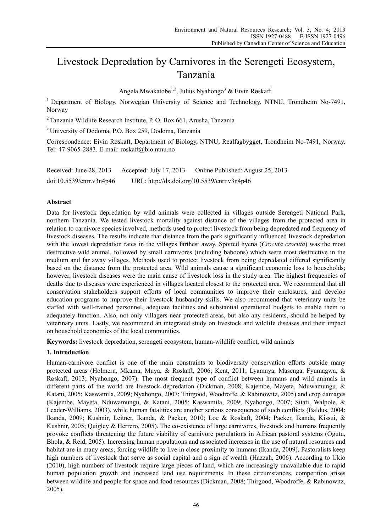# Livestock Depredation by Carnivores in the Serengeti Ecosystem, Tanzania

Angela Mwakatobe<sup>1,2</sup>, Julius Nyahongo<sup>3</sup> & Eivin Røskaft<sup>1</sup>

<sup>1</sup> Department of Biology, Norwegian University of Science and Technology, NTNU, Trondheim No-7491, Norway

2 Tanzania Wildlife Research Institute, P. O. Box 661, Arusha, Tanzania

3 University of Dodoma, P.O. Box 259, Dodoma, Tanzania

Correspondence: Eivin Røskaft, Department of Biology, NTNU, Realfagbygget, Trondheim No-7491, Norway. Tel: 47-9065-2883. E-mail: roskaft@bio.ntnu.no

Received: June 28, 2013 Accepted: July 17, 2013 Online Published: August 25, 2013 doi:10.5539/enrr.v3n4p46 URL: http://dx.doi.org/10.5539/enrr.v3n4p46

## **Abstract**

Data for livestock depredation by wild animals were collected in villages outside Serengeti National Park, northern Tanzania. We tested livestock mortality against distance of the villages from the protected area in relation to carnivore species involved, methods used to protect livestock from being depredated and frequency of livestock diseases. The results indicate that distance from the park significantly influenced livestock depredation with the lowest depredation rates in the villages farthest away. Spotted hyena (*Crocuta crocuta*) was the most destructive wild animal, followed by small carnivores (including baboons) which were most destructive in the medium and far away villages. Methods used to protect livestock from being depredated differed significantly based on the distance from the protected area. Wild animals cause a significant economic loss to households; however, livestock diseases were the main cause of livestock loss in the study area. The highest frequencies of deaths due to diseases were experienced in villages located closest to the protected area. We recommend that all conservation stakeholders support efforts of local communities to improve their enclosures, and develop education programs to improve their livestock husbandry skills. We also recommend that veterinary units be staffed with well-trained personnel, adequate facilities and substantial operational budgets to enable them to adequately function. Also, not only villagers near protected areas, but also any residents, should be helped by veterinary units. Lastly, we recommend an integrated study on livestock and wildlife diseases and their impact on household economies of the local communities.

**Keywords:** livestock depredation, serengeti ecosystem, human-wildlife conflict, wild animals

## **1. Introduction**

Human-carnivore conflict is one of the main constraints to biodiversity conservation efforts outside many protected areas (Holmern, Mkama, Muya, & Røskaft, 2006; Kent, 2011; Lyamuya, Masenga, Fyumagwa, & Røskaft, 2013; Nyahongo, 2007). The most frequent type of conflict between humans and wild animals in different parts of the world are livestock depredation (Dickman, 2008; Kajembe, Mayeta, Nduwamungu, & Katani, 2005; Kaswamila, 2009; Nyahongo, 2007; Thirgood, Woodroffe, & Rabinowitz, 2005) and crop damages (Kajembe, Mayeta, Nduwamungu, & Katani, 2005; Kaswamila, 2009; Nyahongo, 2007; Sitati, Walpole, & Leader-Williams, 2003), while human fatalities are another serious consequence of such conflicts (Baldus, 2004; Ikanda, 2009; Kushnir, Leitner, Ikanda, & Packer, 2010; Løe & Røskaft, 2004; Packer, Ikanda, Kissui, & Kushnir, 2005; Quigley & Herrero, 2005). The co-existence of large carnivores, livestock and humans frequently provoke conflicts threatening the future viability of carnivore populations in African pastoral systems (Ogutu, Bhola, & Reid, 2005). Increasing human populations and associated increases in the use of natural resources and habitat are in many areas, forcing wildlife to live in close proximity to humans (Ikanda, 2009). Pastoralists keep high numbers of livestock that serve as social capital and a sign of wealth (Hazzah, 2006). According to Ukio (2010), high numbers of livestock require large pieces of land, which are increasingly unavailable due to rapid human population growth and increased land use requirements. In these circumstances, competition arises between wildlife and people for space and food resources (Dickman, 2008; Thirgood, Woodroffe, & Rabinowitz, 2005).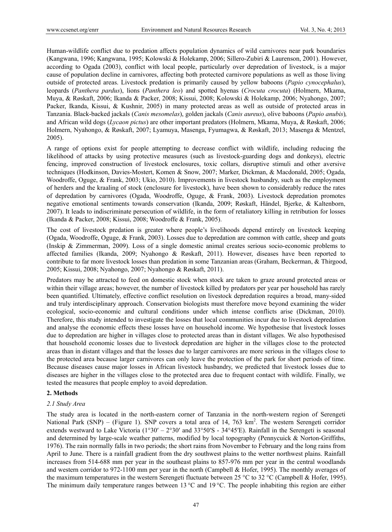Human-wildlife conflict due to predation affects population dynamics of wild carnivores near park boundaries (Kangwana, 1996; Kangwana, 1995; Kolowski & Holekamp, 2006; Sillero-Zubiri & Laurenson, 2001). However, according to Ogada (2003), conflict with local people, particularly over depredation of livestock, is a major cause of population decline in carnivores, affecting both protected carnivore populations as well as those living outside of protected areas. Livestock predation is primarily caused by yellow baboons (*Papio cynocephalus*), leopards (*Panthera pardus*), lions (*Panthera leo*) and spotted hyenas (*Crocuta crocuta*) (Holmern, Mkama, Muya, & Røskaft, 2006; Ikanda & Packer, 2008; Kissui, 2008; Kolowski & Holekamp, 2006; Nyahongo, 2007; Packer, Ikanda, Kissui, & Kushnir, 2005) in many protected areas as well as outside of protected areas in Tanzania. Black-backed jackals (*Canis mesomelas*), golden jackals (*Canis aureus*), olive baboons (*Papio anubis*)*,* and African wild dogs (*Lycaon pictus*) are other important predators (Holmern, Mkama, Muya, & Røskaft, 2006; Holmern, Nyahongo, & Røskaft, 2007; Lyamuya, Masenga, Fyumagwa, & Røskaft, 2013; Masenga & Mentzel, 2005).

A range of options exist for people attempting to decrease conflict with wildlife, including reducing the likelihood of attacks by using protective measures (such as livestock-guarding dogs and donkeys), electric fencing, improved construction of livestock enclosures, toxic collars, disruptive stimuli and other aversive techniques (Hodkinson, Davies-Mostert, Komen & Snow, 2007; Marker, Dickman, & Macdonald, 2005; Ogada, Woodroffe, Oguge, & Frank, 2003; Ukio, 2010). Improvements in livestock husbandry, such as the employment of herders and the kraaling of stock (enclosure for livestock), have been shown to considerably reduce the rates of depredation by carnivores (Ogada, Woodroffe, Oguge, & Frank, 2003). Livestock depredation promotes negative emotional sentiments towards conservation (Ikanda, 2009; Røskaft, Händel, Bjerke, & Kaltenborn, 2007). It leads to indiscriminate persecution of wildlife, in the form of retaliatory killing in retribution for losses (Ikanda & Packer, 2008; Kissui, 2008; Woodroffe & Frank, 2005).

The cost of livestock predation is greater where people's livelihoods depend entirely on livestock keeping (Ogada, Woodroffe, Oguge, & Frank, 2003). Losses due to depredation are common with cattle, sheep and goats (Inskip & Zimmerman, 2009). Loss of a single domestic animal creates serious socio-economic problems to affected families (Ikanda, 2009; Nyahongo & Røskaft, 2011). However, diseases have been reported to contribute to far more livestock losses than predation in some Tanzanian areas (Graham, Beckerman, & Thirgood, 2005; Kissui, 2008; Nyahongo, 2007; Nyahongo & Røskaft, 2011).

Predators may be attracted to feed on domestic stock when stock are taken to graze around protected areas or within their village areas; however, the number of livestock killed by predators per year per household has rarely been quantified. Ultimately, effective conflict resolution on livestock depredation requires a broad, many-sided and truly interdisciplinary approach. Conservation biologists must therefore move beyond examining the wider ecological, socio-economic and cultural conditions under which intense conflicts arise (Dickman, 2010). Therefore, this study intended to investigate the losses that local communities incur due to livestock depredation and analyse the economic effects these losses have on household income. We hypothesise that livestock losses due to depredation are higher in villages close to protected areas than in distant villages. We also hypothesised that household economic losses due to livestock depredation are higher in the villages close to the protected areas than in distant villages and that the losses due to larger carnivores are more serious in the villages close to the protected area because larger carnivores can only leave the protection of the park for short periods of time. Because diseases cause major losses in African livestock husbandry, we predicted that livestock losses due to diseases are higher in the villages close to the protected area due to frequent contact with wildlife. Finally, we tested the measures that people employ to avoid depredation.

## **2. Methods**

#### *2.1 Study Area*

The study area is located in the north-eastern corner of Tanzania in the north-western region of Serengeti National Park  $(SNP)$  – (Figure 1). SNP covers a total area of 14, 763 km<sup>2</sup>. The western Serengeti corridor extends westward to Lake Victoria (1°30′ – 2°30′ and 33°50′S - 34°45′E). Rainfall in the Serengeti is seasonal and determined by large-scale weather patterns, modified by local topography (Pennycuick & Norton-Griffiths, 1976). The rain normally falls in two periods; the short rains from November to February and the long rains from April to June. There is a rainfall gradient from the dry southwest plains to the wetter northwest plains. Rainfall increases from 514-688 mm per year in the southeast plains to 857-976 mm per year in the central woodlands and western corridor to 972-1100 mm per year in the north (Campbell & Hofer, 1995). The monthly averages of the maximum temperatures in the western Serengeti fluctuate between 25 °C to 32 °C (Campbell & Hofer, 1995). The minimum daily temperature ranges between 13 °C and 19 °C. The people inhabiting this region are either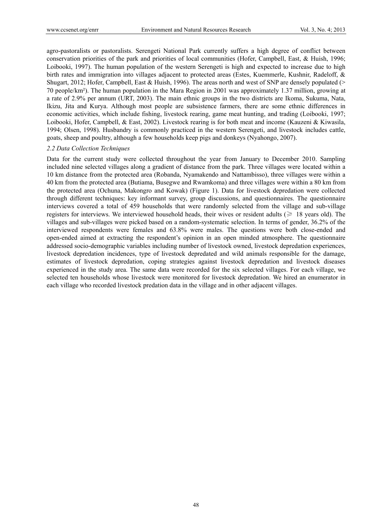agro-pastoralists or pastoralists. Serengeti National Park currently suffers a high degree of conflict between conservation priorities of the park and priorities of local communities (Hofer, Campbell, East, & Huish, 1996; Loibooki, 1997). The human population of the western Serengeti is high and expected to increase due to high birth rates and immigration into villages adjacent to protected areas (Estes, Kuemmerle, Kushnir, Radeloff, & Shugart, 2012; Hofer, Campbell, East & Huish, 1996). The areas north and west of SNP are densely populated (> 70 people/km²). The human population in the Mara Region in 2001 was approximately 1.37 million, growing at a rate of 2.9% per annum (URT, 2003). The main ethnic groups in the two districts are Ikoma, Sukuma, Nata, Ikizu, Jita and Kurya. Although most people are subsistence farmers, there are some ethnic differences in economic activities, which include fishing, livestock rearing, game meat hunting, and trading (Loibooki, 1997; Loibooki, Hofer, Campbell, & East, 2002). Livestock rearing is for both meat and income (Kauzeni & Kiwasila, 1994; Olsen, 1998). Husbandry is commonly practiced in the western Serengeti, and livestock includes cattle, goats, sheep and poultry, although a few households keep pigs and donkeys (Nyahongo, 2007).

#### *2.2 Data Collection Techniques*

Data for the current study were collected throughout the year from January to December 2010. Sampling included nine selected villages along a gradient of distance from the park. Three villages were located within a 10 km distance from the protected area (Robanda, Nyamakendo and Nattambisso), three villages were within a 40 km from the protected area (Butiama, Busegwe and Rwamkoma) and three villages were within a 80 km from the protected area (Ochuna, Makongro and Kowak) (Figure 1). Data for livestock depredation were collected through different techniques: key informant survey, group discussions, and questionnaires. The questionnaire interviews covered a total of 459 households that were randomly selected from the village and sub-village registers for interviews. We interviewed household heads, their wives or resident adults ( $\geq 18$  years old). The villages and sub-villages were picked based on a random-systematic selection. In terms of gender, 36.2% of the interviewed respondents were females and 63.8% were males. The questions were both close-ended and open-ended aimed at extracting the respondent's opinion in an open minded atmosphere. The questionnaire addressed socio-demographic variables including number of livestock owned, livestock depredation experiences, livestock depredation incidences, type of livestock depredated and wild animals responsible for the damage, estimates of livestock depredation, coping strategies against livestock depredation and livestock diseases experienced in the study area. The same data were recorded for the six selected villages. For each village, we selected ten households whose livestock were monitored for livestock depredation. We hired an enumerator in each village who recorded livestock predation data in the village and in other adjacent villages.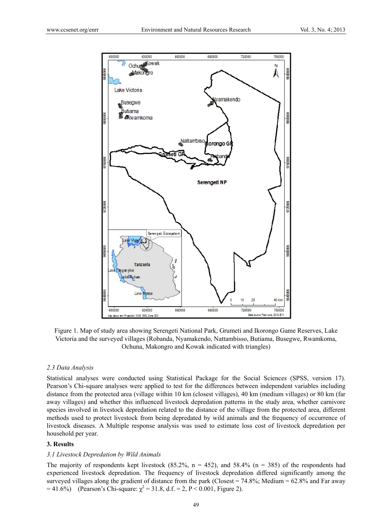

Figure 1. Map of study area showing Serengeti National Park, Grumeti and Ikorongo Game Reserves, Lake Victoria and the surveyed villages (Robanda, Nyamakendo, Nattambisso, Butiama, Busegwe, Rwamkoma, Ochuna, Makongro and Kowak indicated with triangles)

#### *2.3 Data Analysis*

Statistical analyses were conducted using Statistical Package for the Social Sciences (SPSS, version 17). Pearson's Chi-square analyses were applied to test for the differences between independent variables including distance from the protected area (village within 10 km (closest villages), 40 km (medium villages) or 80 km (far away villages) and whether this influenced livestock depredation patterns in the study area, whether carnivore species involved in livestock depredation related to the distance of the village from the protected area, different methods used to protect livestock from being depredated by wild animals and the frequency of occurrence of livestock diseases. A Multiple response analysis was used to estimate loss cost of livestock depredation per household per year.

## **3. Results**

## *3.1 Livestock Depredation by Wild Animals*

The majority of respondents kept livestock  $(85.2\%, n = 452)$ , and  $58.4\%$   $(n = 385)$  of the respondents had experienced livestock depredation. The frequency of livestock depredation differed significantly among the surveyed villages along the gradient of distance from the park (Closest = 74.8%; Medium = 62.8% and Far away  $= 41.6\%$  (Pearson's Chi-square:  $\chi^2 = 31.8$ , d.f. = 2, P < 0.001, Figure 2).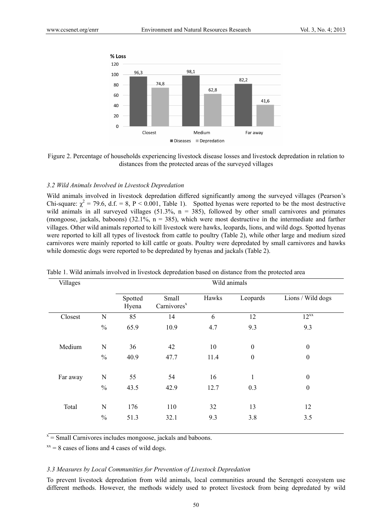

Figure 2. Percentage of households experiencing livestock disease losses and livestock depredation in relation to distances from the protected areas of the surveyed villages

## *3.2 Wild Animals Involved in Livestock Depredation*

Wild animals involved in livestock depredation differed significantly among the surveyed villages (Pearson's Chi-square:  $\chi^2 = 79.6$ , d.f. = 8, P < 0.001, Table 1). Spotted hyenas were reported to be the most destructive wild animals in all surveyed villages  $(51.3\%, n = 385)$ , followed by other small carnivores and primates (mongoose, jackals, baboons) (32.1%,  $n = 385$ ), which were most destructive in the intermediate and farther villages. Other wild animals reported to kill livestock were hawks, leopards, lions, and wild dogs. Spotted hyenas were reported to kill all types of livestock from cattle to poultry (Table 2), while other large and medium sized carnivores were mainly reported to kill cattle or goats. Poultry were depredated by small carnivores and hawks while domestic dogs were reported to be depredated by hyenas and jackals (Table 2).

| Villages |               | Wild animals     |                                  |       |                  |                   |  |  |  |  |
|----------|---------------|------------------|----------------------------------|-------|------------------|-------------------|--|--|--|--|
|          |               | Spotted<br>Hyena | Small<br>Carnivores <sup>x</sup> | Hawks | Leopards         | Lions / Wild dogs |  |  |  |  |
| Closest  | N             | 85               | 14                               | 6     | 12               | $12^{xx}$         |  |  |  |  |
|          | $\frac{0}{0}$ | 65.9             | 10.9                             | 4.7   | 9.3              | 9.3               |  |  |  |  |
| Medium   | N             | 36               | 42                               | 10    | $\boldsymbol{0}$ | $\boldsymbol{0}$  |  |  |  |  |
|          | $\frac{0}{0}$ | 40.9             | 47.7                             | 11.4  | $\boldsymbol{0}$ | $\boldsymbol{0}$  |  |  |  |  |
| Far away | N             | 55               | 54                               | 16    | 1                | $\boldsymbol{0}$  |  |  |  |  |
|          | $\%$          | 43.5             | 42.9                             | 12.7  | 0.3              | $\boldsymbol{0}$  |  |  |  |  |
| Total    | N             | 176              | 110                              | 32    | 13               | 12                |  |  |  |  |
|          | $\frac{0}{0}$ | 51.3             | 32.1                             | 9.3   | 3.8              | 3.5               |  |  |  |  |

Table 1. Wild animals involved in livestock depredation based on distance from the protected area

 $\bar{x}$  = Small Carnivores includes mongoose, jackals and baboons.

 $x = 8$  cases of lions and 4 cases of wild dogs.

#### *3.3 Measures by Local Communities for Prevention of Livestock Depredation*

To prevent livestock depredation from wild animals, local communities around the Serengeti ecosystem use different methods. However, the methods widely used to protect livestock from being depredated by wild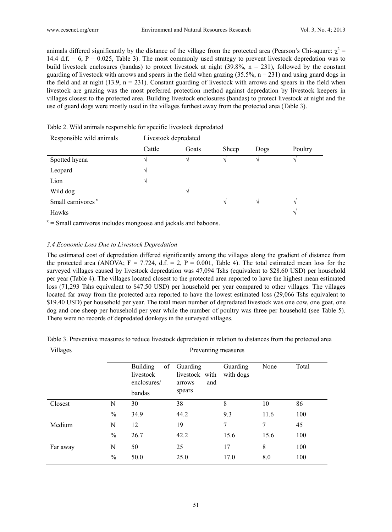animals differed significantly by the distance of the village from the protected area (Pearson's Chi-square:  $\chi^2$  = 14.4 d.f.  $= 6$ ,  $P = 0.025$ , Table 3). The most commonly used strategy to prevent livestock depredation was to build livestock enclosures (bandas) to protect livestock at night (39.8%,  $n = 231$ ), followed by the constant guarding of livestock with arrows and spears in the field when grazing  $(35.5\%, n = 231)$  and using guard dogs in the field and at night  $(13.9, n = 231)$ . Constant guarding of livestock with arrows and spears in the field when livestock are grazing was the most preferred protection method against depredation by livestock keepers in villages closest to the protected area. Building livestock enclosures (bandas) to protect livestock at night and the use of guard dogs were mostly used in the villages furthest away from the protected area (Table 3).

| Responsible wild animals      | Livestock depredated |            |       |               |               |  |  |
|-------------------------------|----------------------|------------|-------|---------------|---------------|--|--|
|                               | Cattle               | Goats      | Sheep | Dogs          | Poultry       |  |  |
| Spotted hyena                 |                      |            |       |               |               |  |  |
| Leopard                       | V                    |            |       |               |               |  |  |
| Lion                          | V                    |            |       |               |               |  |  |
| Wild dog                      |                      | $\sqrt{ }$ |       |               |               |  |  |
| Small carnivores <sup>x</sup> |                      |            | V     | $\mathcal{N}$ | $\mathcal{N}$ |  |  |
| Hawks                         |                      |            |       |               | $\mathcal{N}$ |  |  |

Table 2. Wild animals responsible for specific livestock depredated

 $x =$  Small carnivores includes mongoose and jackals and baboons.

## *3.4 Economic Loss Due to Livestock Depredation*

The estimated cost of depredation differed significantly among the villages along the gradient of distance from the protected area (ANOVA;  $F = 7.724$ , d.f. = 2, P = 0.001, Table 4). The total estimated mean loss for the surveyed villages caused by livestock depredation was 47,094 Tshs (equivalent to \$28.60 USD) per household per year (Table 4). The villages located closest to the protected area reported to have the highest mean estimated loss (71,293 Tshs equivalent to \$47.50 USD) per household per year compared to other villages. The villages located far away from the protected area reported to have the lowest estimated loss (29,066 Tshs equivalent to \$19.40 USD) per household per year. The total mean number of depredated livestock was one cow, one goat, one dog and one sheep per household per year while the number of poultry was three per household (see Table 5). There were no records of depredated donkeys in the surveyed villages.

|  |  |  |  | Table 3. Preventive measures to reduce livestock depredation in relation to distances from the protected area |
|--|--|--|--|---------------------------------------------------------------------------------------------------------------|
|  |  |  |  |                                                                                                               |

| Villages | Preventing measures |                                                             |                                                       |                       |      |       |  |
|----------|---------------------|-------------------------------------------------------------|-------------------------------------------------------|-----------------------|------|-------|--|
|          |                     | <b>Building</b><br>of<br>livestock<br>enclosures/<br>bandas | Guarding<br>livestock with<br>and<br>arrows<br>spears | Guarding<br>with dogs | None | Total |  |
| Closest  | N                   | 30                                                          | 38                                                    | 8                     | 10   | 86    |  |
|          | $\%$                | 34.9                                                        | 44.2                                                  | 9.3                   | 11.6 | 100   |  |
| Medium   | N                   | 12                                                          | 19                                                    | 7                     | 7    | 45    |  |
|          | $\frac{0}{0}$       | 26.7                                                        | 42.2                                                  | 15.6                  | 15.6 | 100   |  |
| Far away | N                   | 50                                                          | 25                                                    | 17                    | 8    | 100   |  |
|          | $\frac{0}{0}$       | 50.0                                                        | 25.0                                                  | 17.0                  | 8.0  | 100   |  |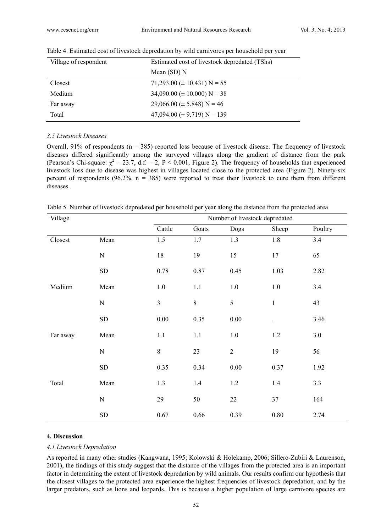| Village of respondent | Estimated cost of livestock depredated (TShs) |  |  |  |
|-----------------------|-----------------------------------------------|--|--|--|
|                       | Mean $(SD)$ N                                 |  |  |  |
| Closest               | 71,293.00 ( $\pm$ 10.431) N = 55              |  |  |  |
| Medium                | $34,090.00 \ (\pm 10.000) \ N = 38$           |  |  |  |
| Far away              | $29,066.00 \ (\pm 5.848) \ N = 46$            |  |  |  |
| Total                 | 47,094.00 ( $\pm$ 9.719) N = 139              |  |  |  |

## Table 4. Estimated cost of livestock depredation by wild carnivores per household per year

#### *3.5 Livestock Diseases*

Overall,  $91\%$  of respondents (n = 385) reported loss because of livestock disease. The frequency of livestock diseases differed significantly among the surveyed villages along the gradient of distance from the park (Pearson's Chi-square:  $\chi^2 = 23.7$ , d.f. = 2, P < 0.001, Figure 2). The frequency of households that experienced livestock loss due to disease was highest in villages located close to the protected area (Figure 2). Ninety-six percent of respondents (96.2%,  $n = 385$ ) were reported to treat their livestock to cure them from different diseases.

Table 5. Number of livestock depredated per household per year along the distance from the protected area

| Village  |            |                | Number of livestock depredated |            |          |         |  |  |
|----------|------------|----------------|--------------------------------|------------|----------|---------|--|--|
|          |            | Cattle         | Goats                          | Dogs       | Sheep    | Poultry |  |  |
| Closest  | Mean       | 1.5            | $1.7\,$                        | $1.3$      | 1.8      | 3.4     |  |  |
|          | ${\bf N}$  | $18\,$         | 19                             | 15         | 17       | 65      |  |  |
|          | ${\rm SD}$ | 0.78           | 0.87                           | 0.45       | 1.03     | 2.82    |  |  |
| Medium   | Mean       | $1.0\,$        | $1.1\,$                        | 1.0        | $1.0\,$  | 3.4     |  |  |
|          | ${\bf N}$  | $\mathfrak{Z}$ | $8\,$                          | 5          | $\,1$    | 43      |  |  |
|          | ${\rm SD}$ | $0.00\,$       | 0.35                           | $0.00\,$   |          | 3.46    |  |  |
| Far away | Mean       | 1.1            | $1.1\,$                        | 1.0        | 1.2      | 3.0     |  |  |
|          | ${\bf N}$  | $8\,$          | 23                             | $\sqrt{2}$ | 19       | 56      |  |  |
|          | ${\rm SD}$ | 0.35           | 0.34                           | 0.00       | 0.37     | 1.92    |  |  |
| Total    | Mean       | 1.3            | 1.4                            | 1.2        | 1.4      | 3.3     |  |  |
|          | ${\bf N}$  | 29             | 50                             | $22\,$     | 37       | 164     |  |  |
|          | ${\rm SD}$ | 0.67           | 0.66                           | 0.39       | $0.80\,$ | 2.74    |  |  |

## **4. Discussion**

## *4.1 Livestock Depredation*

As reported in many other studies (Kangwana, 1995; Kolowski & Holekamp, 2006; Sillero-Zubiri & Laurenson, 2001), the findings of this study suggest that the distance of the villages from the protected area is an important factor in determining the extent of livestock depredation by wild animals. Our results confirm our hypothesis that the closest villages to the protected area experience the highest frequencies of livestock depredation, and by the larger predators, such as lions and leopards. This is because a higher population of large carnivore species are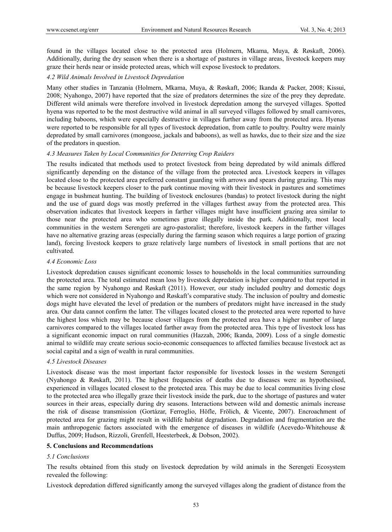found in the villages located close to the protected area (Holmern, Mkama, Muya, & Røskaft, 2006). Additionally, during the dry season when there is a shortage of pastures in village areas, livestock keepers may graze their herds near or inside protected areas, which will expose livestock to predators.

## *4.2 Wild Animals Involved in Livestock Depredation*

Many other studies in Tanzania (Holmern, Mkama, Muya, & Røskaft, 2006; Ikanda & Packer, 2008; Kissui, 2008; Nyahongo, 2007) have reported that the size of predators determines the size of the prey they depredate. Different wild animals were therefore involved in livestock depredation among the surveyed villages. Spotted hyena was reported to be the most destructive wild animal in all surveyed villages followed by small carnivores, including baboons, which were especially destructive in villages further away from the protected area. Hyenas were reported to be responsible for all types of livestock depredation, from cattle to poultry. Poultry were mainly depredated by small carnivores (mongoose, jackals and baboons), as well as hawks, due to their size and the size of the predators in question.

## *4.3 Measures Taken by Local Communities for Deterring Crop Raiders*

The results indicated that methods used to protect livestock from being depredated by wild animals differed significantly depending on the distance of the village from the protected area. Livestock keepers in villages located close to the protected area preferred constant guarding with arrows and spears during grazing. This may be because livestock keepers closer to the park continue moving with their livestock in pastures and sometimes engage in bushmeat hunting. The building of livestock enclosures (bandas) to protect livestock during the night and the use of guard dogs was mostly preferred in the villages furthest away from the protected area. This observation indicates that livestock keepers in farther villages might have insufficient grazing area similar to those near the protected area who sometimes graze illegally inside the park. Additionally, most local communities in the western Serengeti are agro-pastoralist; therefore, livestock keepers in the farther villages have no alternative grazing areas (especially during the farming season which requires a large portion of grazing land), forcing livestock keepers to graze relatively large numbers of livestock in small portions that are not cultivated.

## *4.4 Economic Loss*

Livestock depredation causes significant economic losses to households in the local communities surrounding the protected area. The total estimated mean loss by livestock depredation is higher compared to that reported in the same region by Nyahongo and Røskaft (2011). However, our study included poultry and domestic dogs which were not considered in Nyahongo and Røskaft's comparative study. The inclusion of poultry and domestic dogs might have elevated the level of predation or the numbers of predators might have increased in the study area. Our data cannot confirm the latter. The villages located closest to the protected area were reported to have the highest loss which may be because closer villages from the protected area have a higher number of large carnivores compared to the villages located farther away from the protected area. This type of livestock loss has a significant economic impact on rural communities (Hazzah, 2006; Ikanda, 2009). Loss of a single domestic animal to wildlife may create serious socio-economic consequences to affected families because livestock act as social capital and a sign of wealth in rural communities.

## *4.5 Livestock Diseases*

Livestock disease was the most important factor responsible for livestock losses in the western Serengeti (Nyahongo & Røskaft, 2011). The highest frequencies of deaths due to diseases were as hypothesised, experienced in villages located closest to the protected area. This may be due to local communities living close to the protected area who illegally graze their livestock inside the park, due to the shortage of pastures and water sources in their areas, especially during dry seasons. Interactions between wild and domestic animals increase the risk of disease transmission (Gortázar, Ferroglio, Höfle, Frölich, & Vicente, 2007). Encroachment of protected area for grazing might result in wildlife habitat degradation. Degradation and fragmentation are the main anthropogenic factors associated with the emergence of diseases in wildlife (Acevedo-Whitehouse & Duffus, 2009; Hudson, Rizzoli, Grenfell, Heesterbeek, & Dobson, 2002).

## **5. Conclusions and Recommendations**

## *5.1 Conclusions*

The results obtained from this study on livestock depredation by wild animals in the Serengeti Ecosystem revealed the following:

Livestock depredation differed significantly among the surveyed villages along the gradient of distance from the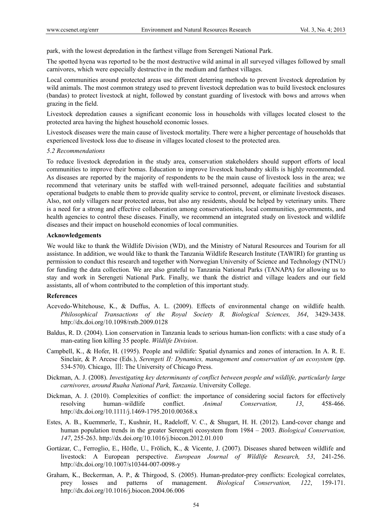park, with the lowest depredation in the farthest village from Serengeti National Park.

The spotted hyena was reported to be the most destructive wild animal in all surveyed villages followed by small carnivores, which were especially destructive in the medium and farthest villages.

Local communities around protected areas use different deterring methods to prevent livestock depredation by wild animals. The most common strategy used to prevent livestock depredation was to build livestock enclosures (bandas) to protect livestock at night, followed by constant guarding of livestock with bows and arrows when grazing in the field.

Livestock depredation causes a significant economic loss in households with villages located closest to the protected area having the highest household economic losses.

Livestock diseases were the main cause of livestock mortality. There were a higher percentage of households that experienced livestock loss due to disease in villages located closest to the protected area.

## *5.2 Recommendations*

To reduce livestock depredation in the study area, conservation stakeholders should support efforts of local communities to improve their bomas. Education to improve livestock husbandry skills is highly recommended. As diseases are reported by the majority of respondents to be the main cause of livestock loss in the area; we recommend that veterinary units be staffed with well-trained personnel, adequate facilities and substantial operational budgets to enable them to provide quality service to control, prevent, or eliminate livestock diseases. Also, not only villagers near protected areas, but also any residents, should be helped by veterinary units. There is a need for a strong and effective collaboration among conservationists, local communities, governments, and health agencies to control these diseases. Finally, we recommend an integrated study on livestock and wildlife diseases and their impact on household economies of local communities.

## **Acknowledgements**

We would like to thank the Wildlife Division (WD), and the Ministry of Natural Resources and Tourism for all assistance. In addition, we would like to thank the Tanzania Wildlife Research Institute (TAWIRI) for granting us permission to conduct this research and together with Norwegian University of Science and Technology (NTNU) for funding the data collection. We are also grateful to Tanzania National Parks (TANAPA) for allowing us to stay and work in Serengeti National Park. Finally, we thank the district and village leaders and our field assistants, all of whom contributed to the completion of this important study.

## **References**

- Acevedo-Whitehouse, K., & Duffus, A. L. (2009). Effects of environmental change on wildlife health. *Philosophical Transactions of the Royal Society B, Biological Sciences, 364*, 3429-3438. http://dx.doi.org/10.1098/rstb.2009.0128
- Baldus, R. D. (2004). Lion conservation in Tanzania leads to serious human-lion conflicts: with a case study of a man-eating lion killing 35 people. *Wildlife Division*.
- Campbell, K., & Hofer, H. (1995). People and wildlife: Spatial dynamics and zones of interaction. In A. R. E. Sinclair, & P. Arcese (Eds.), *Serengeti II: Dynamics, management and conservation of an ecosystem* (pp. 534-570). Chicago, Ⅲ: The University of Chicago Press.
- Dickman, A. J. (2008). *Investigating key determinants of conflict between people and wildlife, particularly large carnivores, around Ruaha National Park, Tanzania*. University College.
- Dickman, A. J. (2010). Complexities of conflict: the importance of considering social factors for effectively resolving human–wildlife conflict. *Animal Conservation, 13*, 458-466. http://dx.doi.org/10.1111/j.1469-1795.2010.00368.x
- Estes, A. B., Kuemmerle, T., Kushnir, H., Radeloff, V. C., & Shugart, H. H. (2012). Land-cover change and human population trends in the greater Serengeti ecosystem from 1984 – 2003. *Biological Conservation, 147*, 255-263. http://dx.doi.org/10.1016/j.biocon.2012.01.010
- Gortázar, C., Ferroglio, E., Höfle, U., Frölich, K., & Vicente, J. (2007). Diseases shared between wildlife and livestock: A European perspective. *European Journal of Wildlife Research, 53*, 241-256. http://dx.doi.org/10.1007/s10344-007-0098-y
- Graham, K., Beckerman, A. P., & Thirgood, S. (2005). Human-predator-prey conflicts: Ecological correlates, prey losses and patterns of management. *Biological Conservation, 122*, 159-171. http://dx.doi.org/10.1016/j.biocon.2004.06.006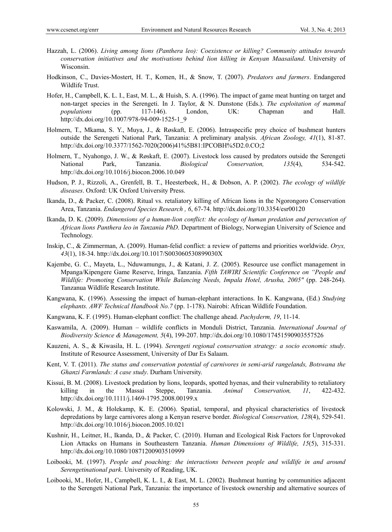- Hazzah, L. (2006). *Living among lions (Panthera leo): Coexistence or killing? Community attitudes towards conservation initiatives and the motivations behind lion killing in Kenyan Maasailand*. University of Wisconsin.
- Hodkinson, C., Davies-Mostert, H. T., Komen, H., & Snow, T. (2007). *Predators and farmers*. Endangered Wildlife Trust.
- Hofer, H., Campbell, K. L. I., East, M. L., & Huish, S. A. (1996). The impact of game meat hunting on target and non-target species in the Serengeti. In J. Taylor, & N. Dunstone (Eds.). *The exploitation of mammal populations* (pp. 117-146). London, UK: Chapman and Hall. http://dx.doi.org/10.1007/978-94-009-1525-1\_9
- Holmern, T., Mkama, S. Y., Muya, J., & Røskaft, E. (2006). Intraspecific prey choice of bushmeat hunters outside the Serengeti National Park, Tanzania: A preliminary analysis. *African Zoology, 41*(1), 81-87. http://dx.doi.org/10.3377/1562-7020(2006)41%5B81:IPCOBH%5D2.0.CO;2
- Holmern, T., Nyahongo, J. W., & Røskaft, E. (2007). Livestock loss caused by predators outside the Serengeti National Park, Tanzania. *Biological Conservation, 135*(4), 534-542. http://dx.doi.org/10.1016/j.biocon.2006.10.049
- Hudson, P. J., Rizzoli, A., Grenfell, B. T., Heesterbeek, H., & Dobson, A. P. (2002). *The ecology of wildlife diseases*. Oxford: UK Oxford University Press.
- Ikanda, D., & Packer, C. (2008). Ritual vs. retaliatory killing of African lions in the Ngorongoro Conservation Area, Tanzania. *Endangered Species Research , 6*, 67-74. http://dx.doi.org/10.3354/esr00120
- Ikanda, D. K. (2009). *Dimensions of a human-lion conflict: the ecology of human predation and persecution of African lions Panthera leo in Tanzania PhD*. Department of Biology, Norwegian University of Science and Technology.
- Inskip, C., & Zimmerman, A. (2009). Human-felid conflict: a review of patterns and priorities worldwide. *Oryx, 43*(1), 18-34. http://dx.doi.org/10.1017/S003060530899030X
- Kajembe, G. C., Mayeta, L., Nduwamungu, J., & Katani, J. Z. (2005). Resource use conflict management in Mpanga/Kipengere Game Reserve, Iringa, Tanzania. *Fifth TAWIRI Scientific Conference on "People and Wildlife: Promoting Conservation While Balancing Needs, Impala Hotel, Arusha, 2005"* (pp. 248-264). Tanzanua Wildlife Research Institute.
- Kangwana, K. (1996). Assessing the impact of human-elephant interactions. In K. Kangwana, (Ed.) *Studying elephants. AWF Technical Handbook No.7* (pp. 1-178). Nairobi: African Wildlife Foundation.
- Kangwana, K. F. (1995). Human-elephant conflict: The challenge ahead. *Pachyderm, 19*, 11-14.
- Kaswamila, A. (2009). Human wildlife conflicts in Monduli District, Tanzania. *International Journal of Biodiversity Science & Management, 5*(4), 199-207. http://dx.doi.org/10.1080/17451590903557526
- Kauzeni, A. S., & Kiwasila, H. L. (1994). *Serengeti regional conservation strategy: a socio economic study*. Institute of Resource Assessment, University of Dar Es Salaam.
- Kent, V. T. (2011). *The status and conservation potential of carnivores in semi-arid rangelands, Botswana the Ghanzi Farmlands: A case study*. Durham University.
- Kissui, B. M. (2008). Livestock predation by lions, leopards, spotted hyenas, and their vulnerability to retaliatory killing in the Massai Steppe, Tanzania. *Animal Conservation, 11*, 422-432. http://dx.doi.org/10.1111/j.1469-1795.2008.00199.x
- Kolowski, J. M., & Holekamp, K. E. (2006). Spatial, temporal, and physical characteristics of livestock depredations by large carnivores along a Kenyan reserve border. *Biological Conservation, 128*(4), 529-541. http://dx.doi.org/10.1016/j.biocon.2005.10.021
- Kushnir, H., Leitner, H., Ikanda, D., & Packer, C. (2010). Human and Ecological Risk Factors for Unprovoked Lion Attacks on Humans in Southeastern Tanzania. *Human Dimensions of Wildlife, 15*(5), 315-331. http://dx.doi.org/10.1080/10871200903510999
- Loibooki, M. (1997). *People and poaching: the interactions between people and wildlife in and around Serengetinational park*. University of Reading, UK.
- Loibooki, M., Hofer, H., Campbell, K. L. I., & East, M. L. (2002). Bushmeat hunting by communities adjacent to the Serengeti National Park, Tanzania: the importance of livestock ownership and alternative sources of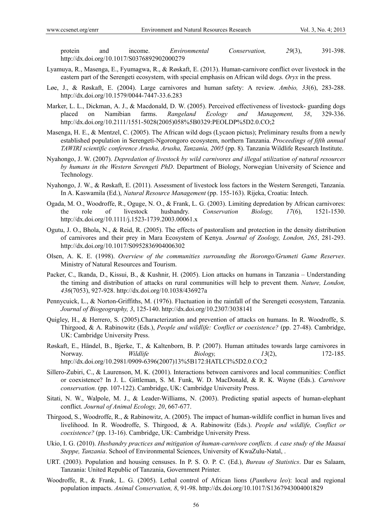protein and income. *Environmental Conservation, 29*(3), 391-398. http://dx.doi.org/10.1017/S0376892902000279

- Lyamuya, R., Masenga, E., Fyumagwa, R., & Røskaft, E. (2013). Human-carnivore conflict over livestock in the eastern part of the Serengeti ecosystem, with special emphasis on African wild dogs. *Oryx* in the press.
- Løe, J., & Røskaft, E. (2004). Large carnivores and human safety: A review. *Ambio, 33*(6), 283-288. http://dx.doi.org/10.1579/0044-7447-33.6.283
- Marker, L. L., Dickman, A. J., & Macdonald, D. W. (2005). Perceived effectiveness of livestock- guarding dogs placed on Namibian farms. *Rangeland Ecology and Management, 58*, 329-336. http://dx.doi.org/10.2111/1551-5028(2005)058%5B0329:PEOLDP%5D2.0.CO;2
- Masenga, H. E., & Mentzel, C. (2005). The African wild dogs (Lycaon pictus); Preliminary results from a newly established population in Serengeti-Ngorongoro ecosystem, northern Tanzania. *Proceedings of fifth annual TAWIRI scientific conference Arusha, Arusha, Tanzania, 2005* (pp. 8). Tanzania Wildlife Research Institute.
- Nyahongo, J. W. (2007). *Depredation of livestock by wild carnivores and illegal utilization of natural resources by humans in the Western Serengeti PhD*. Department of Biology, Norwegian University of Science and Technology.
- Nyahongo, J. W., & Røskaft, E. (2011). Assessment of livestock loss factors in the Western Serengeti, Tanzania. In A. Kaswamila (Ed.), *Natural Resource Management* (pp. 155-163). Rijeka, Croatia: Intech.
- Ogada, M. O., Woodroffe, R., Oguge, N. O., & Frank, L. G. (2003). Limiting depredation by African carnivores: the role of livestock husbandry. *Conservation Biology, 17*(6), 1521-1530. http://dx.doi.org/10.1111/j.1523-1739.2003.00061.x
- Ogutu, J. O., Bhola, N., & Reid, R. (2005). The effects of pastoralism and protection in the density distribution of carnivores and their prey in Mara Ecosystem of Kenya. *Journal of Zoology, London, 265*, 281-293. http://dx.doi.org/10.1017/S0952836904006302
- Olsen, A. K. E. (1998). *Overview of the communities surrounding the Ikorongo/Grumeti Game Reserves*. Ministry of Natural Resources and Tourism.
- Packer, C., Ikanda, D., Kissui, B., & Kushnir, H. (2005). Lion attacks on humans in Tanzania Understanding the timing and distribution of attacks on rural communities will help to prevent them. *Nature, London, 436*(7053), 927-928. http://dx.doi.org/10.1038/436927a
- Pennycuick, L., & Norton-Griffiths, M. (1976). Fluctuation in the rainfall of the Serengeti ecosystem, Tanzania. *Journal of Biogeography, 3*, 125-140. http://dx.doi.org/10.2307/3038141
- Quigley, H., & Herrero, S. (2005).Characterization and prevention of attacks on humans. In R. Woodroffe, S. Thirgood, & A. Rabinowitz (Eds.), *People and wildlife: Conflict or coexistence?* (pp. 27-48). Cambridge, UK: Cambridge University Press.
- Røskaft, E., Händel, B., Bjerke, T., & Kaltenborn, B. P. (2007). Human attitudes towards large carnivores in Norway. *Wildlife Biology, 13*(2), 172-185. http://dx.doi.org/10.2981/0909-6396(2007)13%5B172:HATLCI%5D2.0.CO;2
- Sillero-Zubiri, C., & Laurenson, M. K. (2001). Interactions between carnivores and local communities: Conflict or coexistence? In J. L. Gittleman, S. M. Funk, W. D. MacDonald, & R. K. Wayne (Eds.). *Carnivore conservation.* (pp. 107-122). Cambridge, UK: Cambridge University Press.
- Sitati, N. W., Walpole, M. J., & Leader-Williams, N. (2003). Predicting spatial aspects of human-elephant conflict. *Journal of Animal Ecology, 20*, 667-677.
- Thirgood, S., Woodroffe, R., & Rabinowitz, A. (2005). The impact of human-wildlife conflict in human lives and livelihood. In R. Woodroffe, S. Thirgood, & A. Rabinowitz (Eds.). *People and wildlife, Conflict or coexistence?* (pp. 13-16). Cambridge, UK: Cambridge University Press.
- Ukio, I. G. (2010). *Husbandry practices and mitigation of human-carnivore conflicts. A case study of the Maasai Steppe, Tanzania*. School of Environmental Sciences, University of KwaZulu-Natal, .
- URT. (2003). Population and housing censuses. In P. S. O. P. C. (Ed.), *Bureau of Statistics*. Dar es Salaam, Tanzania: United Republic of Tanzania, Government Printer.
- Woodroffe, R., & Frank, L. G. (2005). Lethal control of African lions (*Panthera leo*): local and regional population impacts. *Animal Conservation, 8*, 91-98. http://dx.doi.org/10.1017/S1367943004001829